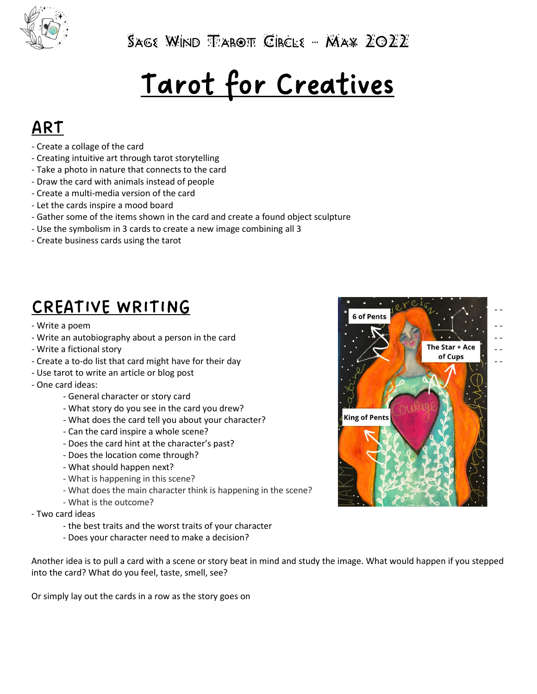

 $S$ age Wind  $T$ arot Circle – Max  $ZOZZ$ 

# Tarot for Creatives

### ART

- Create a collage of the card
- Creating intuitive art through tarot storytelling
- Take a photo in nature that connects to the card
- Draw the card with animals instead of people
- Create a multi-media version of the card
- Let the cards inspire a mood board
- Gather some of the items shown in the card and create a found object sculpture
- Use the symbolism in 3 cards to create a new image combining all 3
- Create business cards using the tarot

## CREATIVE WRITING

- Write a poem
- 
- 
- Create a to-do list that card might have for their day
- Use tarot to write an article or blog post
- One card ideas:
	- General character or story card
	- What story do you see in the card you drew?
	- What does the card tell you about your character?
	- Can the card inspire a whole scene?
	- Does the card hint at the character's past?
	- Does the location come through?
	- What should happen next?
	- What is happening in this scene?
	- What does the main character think is happening in the scene?
	- What is the outcome?
- Two card ideas
	- the best traits and the worst traits of your character
	- Does your character need to make a decision?

Another idea is to pull a card with a scene or story beat in mind and study the image. What would happen if you stepped into the card? What do you feel, taste, smell, see?

Or simply lay out the cards in a row as the story goes on

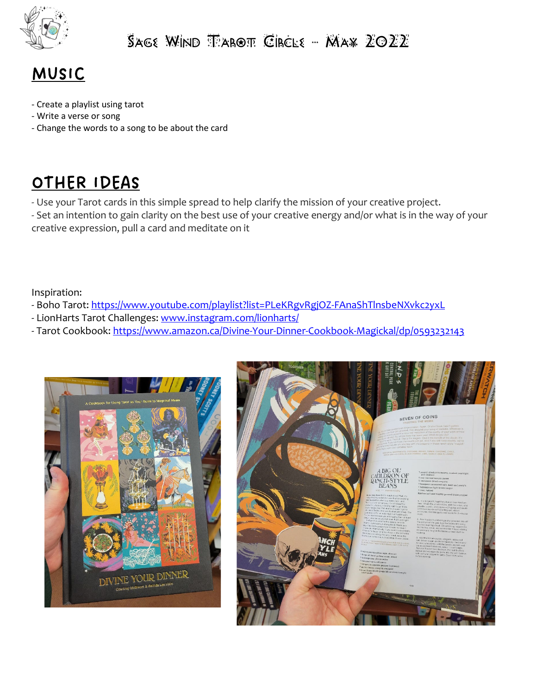

#### $S$ age Wind  $T$ arot Circle – Max  $ZOZZ$



- Create a playlist using tarot
- Write a verse or song
- Change the words to a song to be about the card

### OTHER IDEAS

- Use your Tarot cards in this simple spread to help clarify the mission of your creative project.

- Set an intention to gain clarity on the best use of your creative energy and/or what is in the way of your creative expression, pull a card and meditate on it

Inspiration:

- Boho Tarot:<https://www.youtube.com/playlist?list=PLeKRgvRgjOZ-FAnaShTlnsbeNXvkc2yxL>
- LionHarts Tarot Challenges: [www.instagram.com/lionharts/](http://www.instagram.com/lionharts/)
- Tarot Cookbook:<https://www.amazon.ca/Divine-Your-Dinner-Cookbook-Magickal/dp/0593232143>